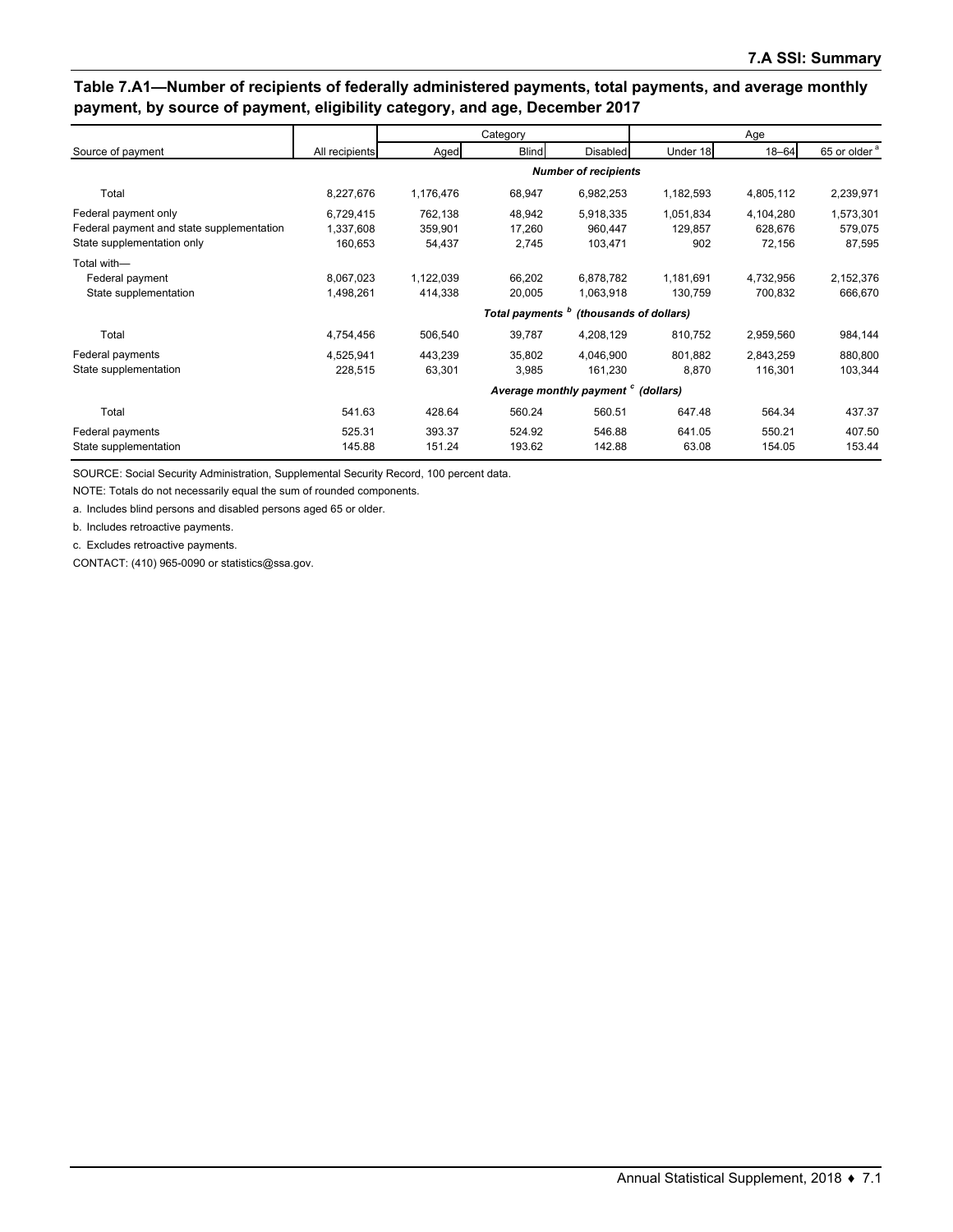### **Table 7.A1—Number of recipients of federally administered payments, total payments, and average monthly payment, by source of payment, eligibility category, and age, December 2017**

|                                           |                |           | Category                    |                                                |                        | Age       |                          |
|-------------------------------------------|----------------|-----------|-----------------------------|------------------------------------------------|------------------------|-----------|--------------------------|
| Source of payment                         | All recipients | Aged      | <b>Blind</b>                | <b>Disabled</b>                                | Under 18               | $18 - 64$ | 65 or older <sup>a</sup> |
|                                           |                |           |                             | <b>Number of recipients</b>                    |                        |           |                          |
| Total                                     | 8,227,676      | 1,176,476 | 68,947                      | 6,982,253                                      | 1,182,593              | 4,805,112 | 2,239,971                |
| Federal payment only                      | 6,729,415      | 762,138   | 48,942                      | 5,918,335                                      | 1,051,834              | 4,104,280 | 1,573,301                |
| Federal payment and state supplementation | 1,337,608      | 359,901   | 17,260                      | 960,447                                        | 129,857                | 628.676   | 579,075                  |
| State supplementation only                | 160,653        | 54,437    | 2,745                       | 103,471                                        | 902                    | 72,156    | 87,595                   |
| Total with-                               |                |           |                             |                                                |                        |           |                          |
| Federal payment                           | 8.067.023      | 1,122,039 | 66,202                      | 6,878,782                                      | 1.181.691              | 4,732,956 | 2,152,376                |
| State supplementation                     | 1,498,261      | 414,338   | 20,005                      | 1,063,918                                      | 130,759                | 700,832   | 666,670                  |
|                                           |                |           | Total payments <sup>b</sup> |                                                | (thousands of dollars) |           |                          |
| Total                                     | 4,754,456      | 506,540   | 39,787                      | 4,208,129                                      | 810,752                | 2,959,560 | 984,144                  |
| Federal payments                          | 4,525,941      | 443,239   | 35,802                      | 4,046,900                                      | 801.882                | 2,843,259 | 880,800                  |
| State supplementation                     | 228,515        | 63,301    | 3,985                       | 161,230                                        | 8,870                  | 116,301   | 103,344                  |
|                                           |                |           |                             | Average monthly payment <sup>c</sup> (dollars) |                        |           |                          |
| Total                                     | 541.63         | 428.64    | 560.24                      | 560.51                                         | 647.48                 | 564.34    | 437.37                   |
| Federal payments                          | 525.31         | 393.37    | 524.92                      | 546.88                                         | 641.05                 | 550.21    | 407.50                   |
| State supplementation                     | 145.88         | 151.24    | 193.62                      | 142.88                                         | 63.08                  | 154.05    | 153.44                   |

SOURCE: Social Security Administration, Supplemental Security Record, 100 percent data.

NOTE: Totals do not necessarily equal the sum of rounded components.

a. Includes blind persons and disabled persons aged 65 or older.

b. Includes retroactive payments.

c. Excludes retroactive payments.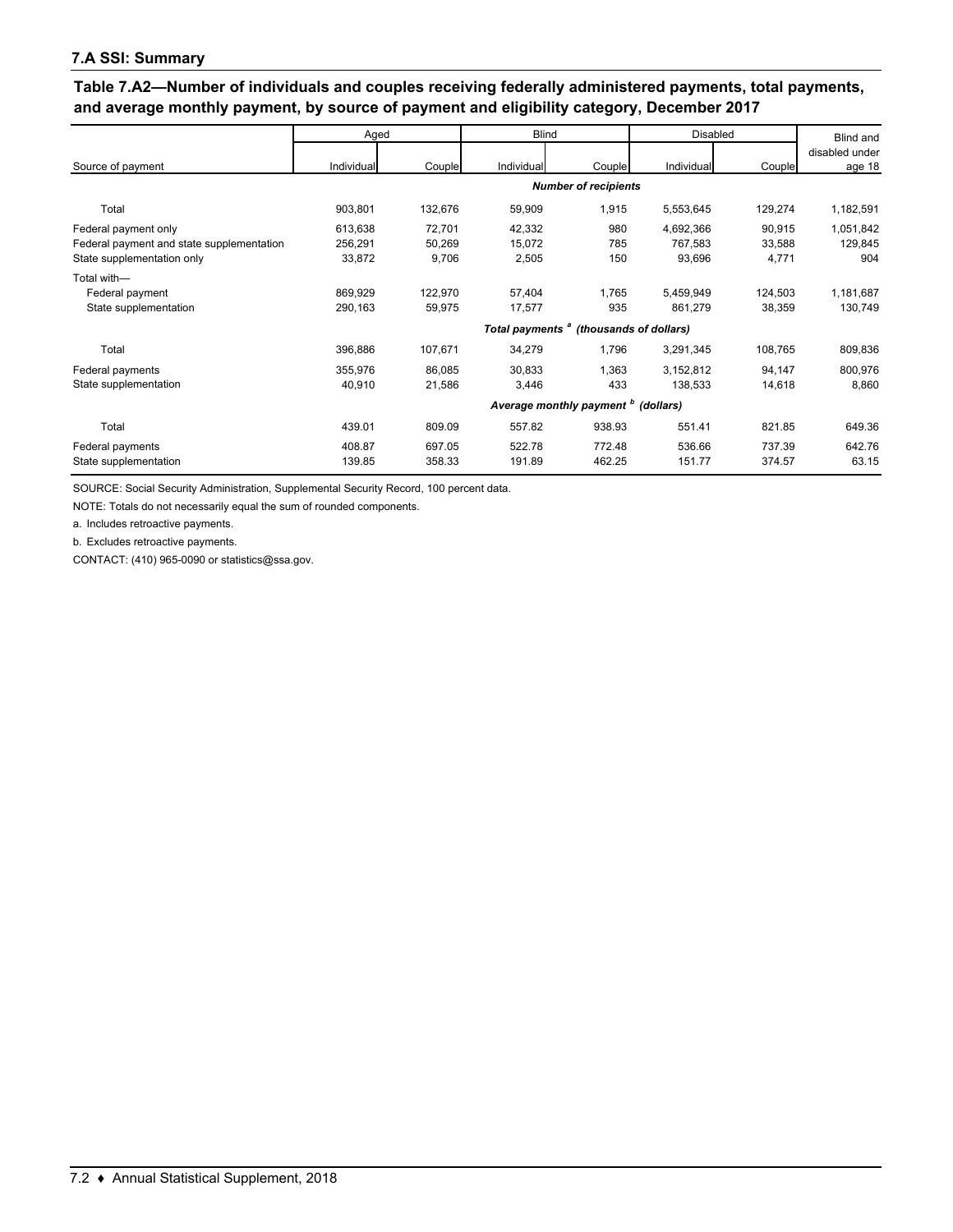#### **7.A SSI: Summary**

**Table 7.A2—Number of individuals and couples receiving federally administered payments, total payments, and average monthly payment, by source of payment and eligibility category, December 2017**

|                                                                                                 | Aged                         |                           | <b>Blind</b>                                       |                             | <b>Disabled</b>                |                           | Blind and                   |
|-------------------------------------------------------------------------------------------------|------------------------------|---------------------------|----------------------------------------------------|-----------------------------|--------------------------------|---------------------------|-----------------------------|
| Source of payment                                                                               | Individual                   | Couple                    | Individual                                         | Couple                      | Individual                     | Couple                    | disabled under<br>age 18    |
|                                                                                                 |                              |                           |                                                    | <b>Number of recipients</b> |                                |                           |                             |
| Total                                                                                           | 903,801                      | 132,676                   | 59,909                                             | 1,915                       | 5,553,645                      | 129,274                   | 1,182,591                   |
| Federal payment only<br>Federal payment and state supplementation<br>State supplementation only | 613,638<br>256,291<br>33,872 | 72,701<br>50,269<br>9,706 | 42,332<br>15,072<br>2,505                          | 980<br>785<br>150           | 4,692,366<br>767,583<br>93,696 | 90,915<br>33,588<br>4,771 | 1,051,842<br>129,845<br>904 |
| Total with-<br>Federal payment<br>State supplementation                                         | 869.929<br>290,163           | 122,970<br>59,975         | 57,404<br>17,577                                   | 1.765<br>935                | 5,459,949<br>861,279           | 124,503<br>38,359         | 1,181,687<br>130,749        |
|                                                                                                 |                              |                           | Total payments <sup>a</sup> (thousands of dollars) |                             |                                |                           |                             |
| Total                                                                                           | 396,886                      | 107,671                   | 34,279                                             | 1,796                       | 3,291,345                      | 108,765                   | 809,836                     |
| Federal payments<br>State supplementation                                                       | 355,976<br>40,910            | 86,085<br>21,586          | 30,833<br>3,446                                    | 1,363<br>433                | 3,152,812<br>138,533           | 94,147<br>14,618          | 800,976<br>8,860            |
|                                                                                                 |                              |                           | Average monthly payment <sup>b</sup> (dollars)     |                             |                                |                           |                             |
| Total                                                                                           | 439.01                       | 809.09                    | 557.82                                             | 938.93                      | 551.41                         | 821.85                    | 649.36                      |
| Federal payments<br>State supplementation                                                       | 408.87<br>139.85             | 697.05<br>358.33          | 522.78<br>191.89                                   | 772.48<br>462.25            | 536.66<br>151.77               | 737.39<br>374.57          | 642.76<br>63.15             |

SOURCE: Social Security Administration, Supplemental Security Record, 100 percent data.

NOTE: Totals do not necessarily equal the sum of rounded components.

a. Includes retroactive payments.

b. Excludes retroactive payments.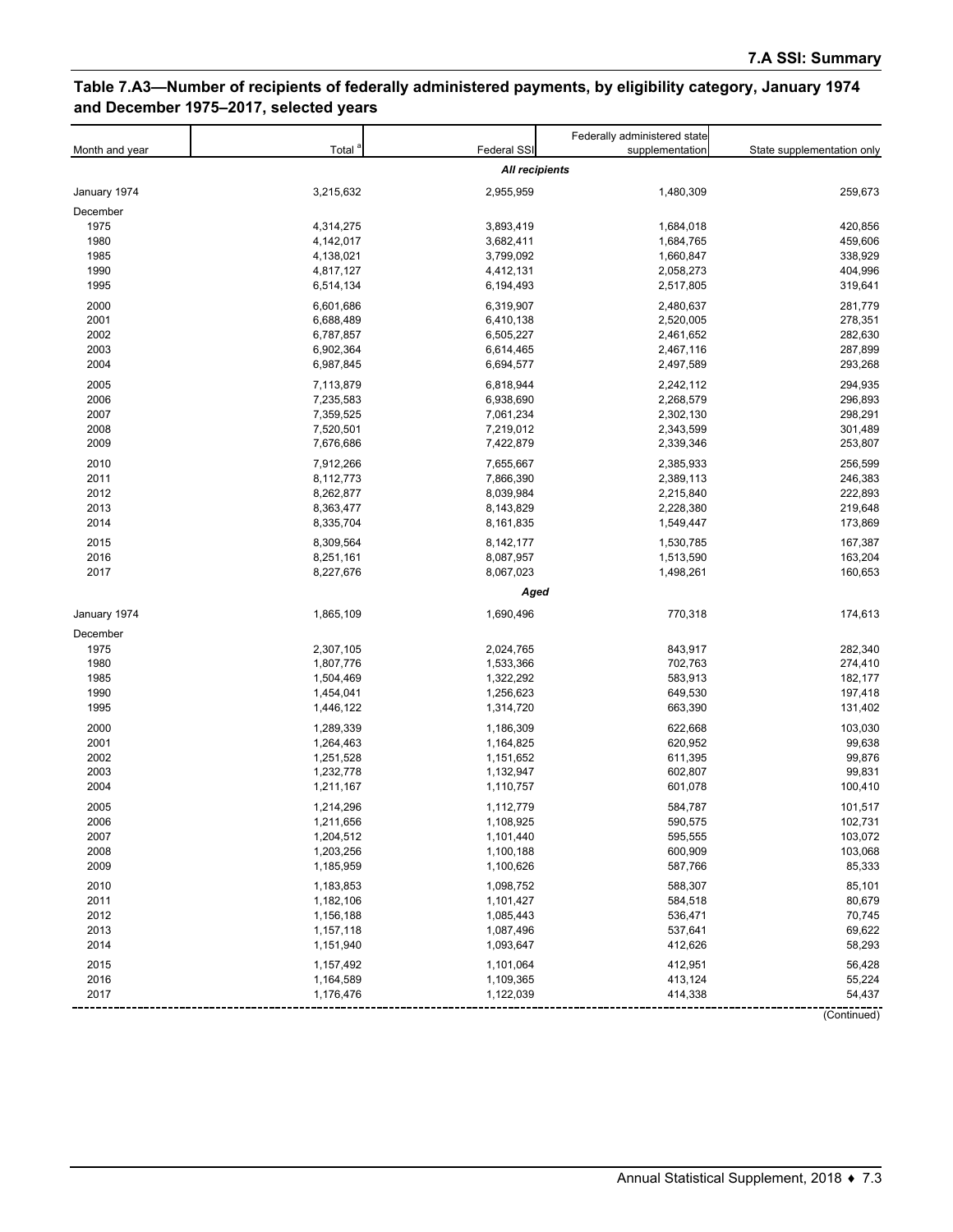# **Table 7.A3—Number of recipients of federally administered payments, by eligibility category, January 1974 and December 1975–2017, selected years**

| Federal SSI<br>Total<br>Month and year<br>supplementation<br>State supplementation only<br><b>All recipients</b><br>3,215,632<br>2,955,959<br>1,480,309<br>259,673<br>January 1974<br>December<br>1975<br>4,314,275<br>3,893,419<br>1,684,018<br>420,856<br>1980<br>3,682,411<br>459,606<br>4,142,017<br>1,684,765<br>3,799,092<br>1985<br>4,138,021<br>1,660,847<br>338,929<br>1990<br>404,996<br>4,817,127<br>4,412,131<br>2,058,273<br>1995<br>319,641<br>6,514,134<br>6,194,493<br>2,517,805<br>281,779<br>2000<br>6,601,686<br>6,319,907<br>2,480,637<br>278,351<br>2001<br>6,688,489<br>6,410,138<br>2,520,005<br>282,630<br>2002<br>6,787,857<br>6,505,227<br>2,461,652<br>2003<br>6,902,364<br>287,899<br>6,614,465<br>2,467,116<br>2004<br>293,268<br>6,987,845<br>6,694,577<br>2,497,589<br>2005<br>6,818,944<br>294,935<br>7,113,879<br>2,242,112<br>2006<br>2,268,579<br>296,893<br>7,235,583<br>6,938,690<br>2007<br>7,359,525<br>7,061,234<br>2,302,130<br>298,291<br>2008<br>7,520,501<br>7,219,012<br>2,343,599<br>301,489<br>2009<br>253,807<br>7,676,686<br>7,422,879<br>2,339,346<br>2010<br>256,599<br>7,912,266<br>7,655,667<br>2,385,933<br>2011<br>7,866,390<br>246,383<br>8,112,773<br>2,389,113<br>2012<br>8,262,877<br>8,039,984<br>2,215,840<br>222,893<br>2013<br>8,363,477<br>8,143,829<br>2,228,380<br>219,648<br>2014<br>173,869<br>8,335,704<br>8,161,835<br>1,549,447<br>2015<br>167,387<br>8,309,564<br>8,142,177<br>1,530,785<br>2016<br>8,087,957<br>163,204<br>8,251,161<br>1,513,590<br>2017<br>8,227,676<br>8,067,023<br>1,498,261<br>160,653<br>Aged<br>January 1974<br>1,865,109<br>1,690,496<br>770,318<br>174,613<br>December<br>1975<br>2,307,105<br>843,917<br>282,340<br>2,024,765<br>1980<br>1,533,366<br>702,763<br>274,410<br>1,807,776<br>1985<br>1,322,292<br>583,913<br>182,177<br>1,504,469<br>1990<br>1,256,623<br>1,454,041<br>649,530<br>197,418<br>1995<br>1,446,122<br>1,314,720<br>663,390<br>131,402<br>2000<br>1,289,339<br>1,186,309<br>622,668<br>103,030<br>2001<br>99,638<br>1,264,463<br>1,164,825<br>620,952<br>2002<br>1,251,528<br>1,151,652<br>611,395<br>99,876<br>2003<br>99,831<br>1,232,778<br>1,132,947<br>602,807<br>2004<br>1,211,167<br>1,110,757<br>601,078<br>100,410<br>2005<br>1,112,779<br>1,214,296<br>584,787<br>101,517<br>2006<br>1,108,925<br>590,575<br>102,731<br>1,211,656<br>2007<br>103,072<br>1,204,512<br>1,101,440<br>595,555<br>2008<br>1,203,256<br>1,100,188<br>600,909<br>103,068<br>2009<br>1,185,959<br>1,100,626<br>587,766<br>85,333<br>2010<br>1,098,752<br>588,307<br>85,101<br>1,183,853<br>2011<br>1,182,106<br>80,679<br>1,101,427<br>584,518<br>2012<br>70,745<br>1,156,188<br>1,085,443<br>536,471<br>2013<br>1,157,118<br>1,087,496<br>537,641<br>69,622<br>2014<br>1,151,940<br>1,093,647<br>412,626<br>58,293<br>2015<br>56,428<br>1,157,492<br>1,101,064<br>412,951<br>2016<br>1,109,365<br>1,164,589<br>413,124<br>55,224<br>2017<br>1,176,476<br>1,122,039<br>414,338<br>54,437<br>(Continued) |  | Federally administered state |  |
|---------------------------------------------------------------------------------------------------------------------------------------------------------------------------------------------------------------------------------------------------------------------------------------------------------------------------------------------------------------------------------------------------------------------------------------------------------------------------------------------------------------------------------------------------------------------------------------------------------------------------------------------------------------------------------------------------------------------------------------------------------------------------------------------------------------------------------------------------------------------------------------------------------------------------------------------------------------------------------------------------------------------------------------------------------------------------------------------------------------------------------------------------------------------------------------------------------------------------------------------------------------------------------------------------------------------------------------------------------------------------------------------------------------------------------------------------------------------------------------------------------------------------------------------------------------------------------------------------------------------------------------------------------------------------------------------------------------------------------------------------------------------------------------------------------------------------------------------------------------------------------------------------------------------------------------------------------------------------------------------------------------------------------------------------------------------------------------------------------------------------------------------------------------------------------------------------------------------------------------------------------------------------------------------------------------------------------------------------------------------------------------------------------------------------------------------------------------------------------------------------------------------------------------------------------------------------------------------------------------------------------------------------------------------------------------------------------------------------------------------------------------------------------------------------------------------------------------------------------------------------------------------------------------------------------------------------------------------------------------------------------------------|--|------------------------------|--|
|                                                                                                                                                                                                                                                                                                                                                                                                                                                                                                                                                                                                                                                                                                                                                                                                                                                                                                                                                                                                                                                                                                                                                                                                                                                                                                                                                                                                                                                                                                                                                                                                                                                                                                                                                                                                                                                                                                                                                                                                                                                                                                                                                                                                                                                                                                                                                                                                                                                                                                                                                                                                                                                                                                                                                                                                                                                                                                                                                                                                                     |  |                              |  |
|                                                                                                                                                                                                                                                                                                                                                                                                                                                                                                                                                                                                                                                                                                                                                                                                                                                                                                                                                                                                                                                                                                                                                                                                                                                                                                                                                                                                                                                                                                                                                                                                                                                                                                                                                                                                                                                                                                                                                                                                                                                                                                                                                                                                                                                                                                                                                                                                                                                                                                                                                                                                                                                                                                                                                                                                                                                                                                                                                                                                                     |  |                              |  |
|                                                                                                                                                                                                                                                                                                                                                                                                                                                                                                                                                                                                                                                                                                                                                                                                                                                                                                                                                                                                                                                                                                                                                                                                                                                                                                                                                                                                                                                                                                                                                                                                                                                                                                                                                                                                                                                                                                                                                                                                                                                                                                                                                                                                                                                                                                                                                                                                                                                                                                                                                                                                                                                                                                                                                                                                                                                                                                                                                                                                                     |  |                              |  |
|                                                                                                                                                                                                                                                                                                                                                                                                                                                                                                                                                                                                                                                                                                                                                                                                                                                                                                                                                                                                                                                                                                                                                                                                                                                                                                                                                                                                                                                                                                                                                                                                                                                                                                                                                                                                                                                                                                                                                                                                                                                                                                                                                                                                                                                                                                                                                                                                                                                                                                                                                                                                                                                                                                                                                                                                                                                                                                                                                                                                                     |  |                              |  |
|                                                                                                                                                                                                                                                                                                                                                                                                                                                                                                                                                                                                                                                                                                                                                                                                                                                                                                                                                                                                                                                                                                                                                                                                                                                                                                                                                                                                                                                                                                                                                                                                                                                                                                                                                                                                                                                                                                                                                                                                                                                                                                                                                                                                                                                                                                                                                                                                                                                                                                                                                                                                                                                                                                                                                                                                                                                                                                                                                                                                                     |  |                              |  |
|                                                                                                                                                                                                                                                                                                                                                                                                                                                                                                                                                                                                                                                                                                                                                                                                                                                                                                                                                                                                                                                                                                                                                                                                                                                                                                                                                                                                                                                                                                                                                                                                                                                                                                                                                                                                                                                                                                                                                                                                                                                                                                                                                                                                                                                                                                                                                                                                                                                                                                                                                                                                                                                                                                                                                                                                                                                                                                                                                                                                                     |  |                              |  |
|                                                                                                                                                                                                                                                                                                                                                                                                                                                                                                                                                                                                                                                                                                                                                                                                                                                                                                                                                                                                                                                                                                                                                                                                                                                                                                                                                                                                                                                                                                                                                                                                                                                                                                                                                                                                                                                                                                                                                                                                                                                                                                                                                                                                                                                                                                                                                                                                                                                                                                                                                                                                                                                                                                                                                                                                                                                                                                                                                                                                                     |  |                              |  |
|                                                                                                                                                                                                                                                                                                                                                                                                                                                                                                                                                                                                                                                                                                                                                                                                                                                                                                                                                                                                                                                                                                                                                                                                                                                                                                                                                                                                                                                                                                                                                                                                                                                                                                                                                                                                                                                                                                                                                                                                                                                                                                                                                                                                                                                                                                                                                                                                                                                                                                                                                                                                                                                                                                                                                                                                                                                                                                                                                                                                                     |  |                              |  |
|                                                                                                                                                                                                                                                                                                                                                                                                                                                                                                                                                                                                                                                                                                                                                                                                                                                                                                                                                                                                                                                                                                                                                                                                                                                                                                                                                                                                                                                                                                                                                                                                                                                                                                                                                                                                                                                                                                                                                                                                                                                                                                                                                                                                                                                                                                                                                                                                                                                                                                                                                                                                                                                                                                                                                                                                                                                                                                                                                                                                                     |  |                              |  |
|                                                                                                                                                                                                                                                                                                                                                                                                                                                                                                                                                                                                                                                                                                                                                                                                                                                                                                                                                                                                                                                                                                                                                                                                                                                                                                                                                                                                                                                                                                                                                                                                                                                                                                                                                                                                                                                                                                                                                                                                                                                                                                                                                                                                                                                                                                                                                                                                                                                                                                                                                                                                                                                                                                                                                                                                                                                                                                                                                                                                                     |  |                              |  |
|                                                                                                                                                                                                                                                                                                                                                                                                                                                                                                                                                                                                                                                                                                                                                                                                                                                                                                                                                                                                                                                                                                                                                                                                                                                                                                                                                                                                                                                                                                                                                                                                                                                                                                                                                                                                                                                                                                                                                                                                                                                                                                                                                                                                                                                                                                                                                                                                                                                                                                                                                                                                                                                                                                                                                                                                                                                                                                                                                                                                                     |  |                              |  |
|                                                                                                                                                                                                                                                                                                                                                                                                                                                                                                                                                                                                                                                                                                                                                                                                                                                                                                                                                                                                                                                                                                                                                                                                                                                                                                                                                                                                                                                                                                                                                                                                                                                                                                                                                                                                                                                                                                                                                                                                                                                                                                                                                                                                                                                                                                                                                                                                                                                                                                                                                                                                                                                                                                                                                                                                                                                                                                                                                                                                                     |  |                              |  |
|                                                                                                                                                                                                                                                                                                                                                                                                                                                                                                                                                                                                                                                                                                                                                                                                                                                                                                                                                                                                                                                                                                                                                                                                                                                                                                                                                                                                                                                                                                                                                                                                                                                                                                                                                                                                                                                                                                                                                                                                                                                                                                                                                                                                                                                                                                                                                                                                                                                                                                                                                                                                                                                                                                                                                                                                                                                                                                                                                                                                                     |  |                              |  |
|                                                                                                                                                                                                                                                                                                                                                                                                                                                                                                                                                                                                                                                                                                                                                                                                                                                                                                                                                                                                                                                                                                                                                                                                                                                                                                                                                                                                                                                                                                                                                                                                                                                                                                                                                                                                                                                                                                                                                                                                                                                                                                                                                                                                                                                                                                                                                                                                                                                                                                                                                                                                                                                                                                                                                                                                                                                                                                                                                                                                                     |  |                              |  |
|                                                                                                                                                                                                                                                                                                                                                                                                                                                                                                                                                                                                                                                                                                                                                                                                                                                                                                                                                                                                                                                                                                                                                                                                                                                                                                                                                                                                                                                                                                                                                                                                                                                                                                                                                                                                                                                                                                                                                                                                                                                                                                                                                                                                                                                                                                                                                                                                                                                                                                                                                                                                                                                                                                                                                                                                                                                                                                                                                                                                                     |  |                              |  |
|                                                                                                                                                                                                                                                                                                                                                                                                                                                                                                                                                                                                                                                                                                                                                                                                                                                                                                                                                                                                                                                                                                                                                                                                                                                                                                                                                                                                                                                                                                                                                                                                                                                                                                                                                                                                                                                                                                                                                                                                                                                                                                                                                                                                                                                                                                                                                                                                                                                                                                                                                                                                                                                                                                                                                                                                                                                                                                                                                                                                                     |  |                              |  |
|                                                                                                                                                                                                                                                                                                                                                                                                                                                                                                                                                                                                                                                                                                                                                                                                                                                                                                                                                                                                                                                                                                                                                                                                                                                                                                                                                                                                                                                                                                                                                                                                                                                                                                                                                                                                                                                                                                                                                                                                                                                                                                                                                                                                                                                                                                                                                                                                                                                                                                                                                                                                                                                                                                                                                                                                                                                                                                                                                                                                                     |  |                              |  |
|                                                                                                                                                                                                                                                                                                                                                                                                                                                                                                                                                                                                                                                                                                                                                                                                                                                                                                                                                                                                                                                                                                                                                                                                                                                                                                                                                                                                                                                                                                                                                                                                                                                                                                                                                                                                                                                                                                                                                                                                                                                                                                                                                                                                                                                                                                                                                                                                                                                                                                                                                                                                                                                                                                                                                                                                                                                                                                                                                                                                                     |  |                              |  |
|                                                                                                                                                                                                                                                                                                                                                                                                                                                                                                                                                                                                                                                                                                                                                                                                                                                                                                                                                                                                                                                                                                                                                                                                                                                                                                                                                                                                                                                                                                                                                                                                                                                                                                                                                                                                                                                                                                                                                                                                                                                                                                                                                                                                                                                                                                                                                                                                                                                                                                                                                                                                                                                                                                                                                                                                                                                                                                                                                                                                                     |  |                              |  |
|                                                                                                                                                                                                                                                                                                                                                                                                                                                                                                                                                                                                                                                                                                                                                                                                                                                                                                                                                                                                                                                                                                                                                                                                                                                                                                                                                                                                                                                                                                                                                                                                                                                                                                                                                                                                                                                                                                                                                                                                                                                                                                                                                                                                                                                                                                                                                                                                                                                                                                                                                                                                                                                                                                                                                                                                                                                                                                                                                                                                                     |  |                              |  |
|                                                                                                                                                                                                                                                                                                                                                                                                                                                                                                                                                                                                                                                                                                                                                                                                                                                                                                                                                                                                                                                                                                                                                                                                                                                                                                                                                                                                                                                                                                                                                                                                                                                                                                                                                                                                                                                                                                                                                                                                                                                                                                                                                                                                                                                                                                                                                                                                                                                                                                                                                                                                                                                                                                                                                                                                                                                                                                                                                                                                                     |  |                              |  |
|                                                                                                                                                                                                                                                                                                                                                                                                                                                                                                                                                                                                                                                                                                                                                                                                                                                                                                                                                                                                                                                                                                                                                                                                                                                                                                                                                                                                                                                                                                                                                                                                                                                                                                                                                                                                                                                                                                                                                                                                                                                                                                                                                                                                                                                                                                                                                                                                                                                                                                                                                                                                                                                                                                                                                                                                                                                                                                                                                                                                                     |  |                              |  |
|                                                                                                                                                                                                                                                                                                                                                                                                                                                                                                                                                                                                                                                                                                                                                                                                                                                                                                                                                                                                                                                                                                                                                                                                                                                                                                                                                                                                                                                                                                                                                                                                                                                                                                                                                                                                                                                                                                                                                                                                                                                                                                                                                                                                                                                                                                                                                                                                                                                                                                                                                                                                                                                                                                                                                                                                                                                                                                                                                                                                                     |  |                              |  |
|                                                                                                                                                                                                                                                                                                                                                                                                                                                                                                                                                                                                                                                                                                                                                                                                                                                                                                                                                                                                                                                                                                                                                                                                                                                                                                                                                                                                                                                                                                                                                                                                                                                                                                                                                                                                                                                                                                                                                                                                                                                                                                                                                                                                                                                                                                                                                                                                                                                                                                                                                                                                                                                                                                                                                                                                                                                                                                                                                                                                                     |  |                              |  |
|                                                                                                                                                                                                                                                                                                                                                                                                                                                                                                                                                                                                                                                                                                                                                                                                                                                                                                                                                                                                                                                                                                                                                                                                                                                                                                                                                                                                                                                                                                                                                                                                                                                                                                                                                                                                                                                                                                                                                                                                                                                                                                                                                                                                                                                                                                                                                                                                                                                                                                                                                                                                                                                                                                                                                                                                                                                                                                                                                                                                                     |  |                              |  |
|                                                                                                                                                                                                                                                                                                                                                                                                                                                                                                                                                                                                                                                                                                                                                                                                                                                                                                                                                                                                                                                                                                                                                                                                                                                                                                                                                                                                                                                                                                                                                                                                                                                                                                                                                                                                                                                                                                                                                                                                                                                                                                                                                                                                                                                                                                                                                                                                                                                                                                                                                                                                                                                                                                                                                                                                                                                                                                                                                                                                                     |  |                              |  |
|                                                                                                                                                                                                                                                                                                                                                                                                                                                                                                                                                                                                                                                                                                                                                                                                                                                                                                                                                                                                                                                                                                                                                                                                                                                                                                                                                                                                                                                                                                                                                                                                                                                                                                                                                                                                                                                                                                                                                                                                                                                                                                                                                                                                                                                                                                                                                                                                                                                                                                                                                                                                                                                                                                                                                                                                                                                                                                                                                                                                                     |  |                              |  |
|                                                                                                                                                                                                                                                                                                                                                                                                                                                                                                                                                                                                                                                                                                                                                                                                                                                                                                                                                                                                                                                                                                                                                                                                                                                                                                                                                                                                                                                                                                                                                                                                                                                                                                                                                                                                                                                                                                                                                                                                                                                                                                                                                                                                                                                                                                                                                                                                                                                                                                                                                                                                                                                                                                                                                                                                                                                                                                                                                                                                                     |  |                              |  |
|                                                                                                                                                                                                                                                                                                                                                                                                                                                                                                                                                                                                                                                                                                                                                                                                                                                                                                                                                                                                                                                                                                                                                                                                                                                                                                                                                                                                                                                                                                                                                                                                                                                                                                                                                                                                                                                                                                                                                                                                                                                                                                                                                                                                                                                                                                                                                                                                                                                                                                                                                                                                                                                                                                                                                                                                                                                                                                                                                                                                                     |  |                              |  |
|                                                                                                                                                                                                                                                                                                                                                                                                                                                                                                                                                                                                                                                                                                                                                                                                                                                                                                                                                                                                                                                                                                                                                                                                                                                                                                                                                                                                                                                                                                                                                                                                                                                                                                                                                                                                                                                                                                                                                                                                                                                                                                                                                                                                                                                                                                                                                                                                                                                                                                                                                                                                                                                                                                                                                                                                                                                                                                                                                                                                                     |  |                              |  |
|                                                                                                                                                                                                                                                                                                                                                                                                                                                                                                                                                                                                                                                                                                                                                                                                                                                                                                                                                                                                                                                                                                                                                                                                                                                                                                                                                                                                                                                                                                                                                                                                                                                                                                                                                                                                                                                                                                                                                                                                                                                                                                                                                                                                                                                                                                                                                                                                                                                                                                                                                                                                                                                                                                                                                                                                                                                                                                                                                                                                                     |  |                              |  |
|                                                                                                                                                                                                                                                                                                                                                                                                                                                                                                                                                                                                                                                                                                                                                                                                                                                                                                                                                                                                                                                                                                                                                                                                                                                                                                                                                                                                                                                                                                                                                                                                                                                                                                                                                                                                                                                                                                                                                                                                                                                                                                                                                                                                                                                                                                                                                                                                                                                                                                                                                                                                                                                                                                                                                                                                                                                                                                                                                                                                                     |  |                              |  |
|                                                                                                                                                                                                                                                                                                                                                                                                                                                                                                                                                                                                                                                                                                                                                                                                                                                                                                                                                                                                                                                                                                                                                                                                                                                                                                                                                                                                                                                                                                                                                                                                                                                                                                                                                                                                                                                                                                                                                                                                                                                                                                                                                                                                                                                                                                                                                                                                                                                                                                                                                                                                                                                                                                                                                                                                                                                                                                                                                                                                                     |  |                              |  |
|                                                                                                                                                                                                                                                                                                                                                                                                                                                                                                                                                                                                                                                                                                                                                                                                                                                                                                                                                                                                                                                                                                                                                                                                                                                                                                                                                                                                                                                                                                                                                                                                                                                                                                                                                                                                                                                                                                                                                                                                                                                                                                                                                                                                                                                                                                                                                                                                                                                                                                                                                                                                                                                                                                                                                                                                                                                                                                                                                                                                                     |  |                              |  |
|                                                                                                                                                                                                                                                                                                                                                                                                                                                                                                                                                                                                                                                                                                                                                                                                                                                                                                                                                                                                                                                                                                                                                                                                                                                                                                                                                                                                                                                                                                                                                                                                                                                                                                                                                                                                                                                                                                                                                                                                                                                                                                                                                                                                                                                                                                                                                                                                                                                                                                                                                                                                                                                                                                                                                                                                                                                                                                                                                                                                                     |  |                              |  |
|                                                                                                                                                                                                                                                                                                                                                                                                                                                                                                                                                                                                                                                                                                                                                                                                                                                                                                                                                                                                                                                                                                                                                                                                                                                                                                                                                                                                                                                                                                                                                                                                                                                                                                                                                                                                                                                                                                                                                                                                                                                                                                                                                                                                                                                                                                                                                                                                                                                                                                                                                                                                                                                                                                                                                                                                                                                                                                                                                                                                                     |  |                              |  |
|                                                                                                                                                                                                                                                                                                                                                                                                                                                                                                                                                                                                                                                                                                                                                                                                                                                                                                                                                                                                                                                                                                                                                                                                                                                                                                                                                                                                                                                                                                                                                                                                                                                                                                                                                                                                                                                                                                                                                                                                                                                                                                                                                                                                                                                                                                                                                                                                                                                                                                                                                                                                                                                                                                                                                                                                                                                                                                                                                                                                                     |  |                              |  |
|                                                                                                                                                                                                                                                                                                                                                                                                                                                                                                                                                                                                                                                                                                                                                                                                                                                                                                                                                                                                                                                                                                                                                                                                                                                                                                                                                                                                                                                                                                                                                                                                                                                                                                                                                                                                                                                                                                                                                                                                                                                                                                                                                                                                                                                                                                                                                                                                                                                                                                                                                                                                                                                                                                                                                                                                                                                                                                                                                                                                                     |  |                              |  |
|                                                                                                                                                                                                                                                                                                                                                                                                                                                                                                                                                                                                                                                                                                                                                                                                                                                                                                                                                                                                                                                                                                                                                                                                                                                                                                                                                                                                                                                                                                                                                                                                                                                                                                                                                                                                                                                                                                                                                                                                                                                                                                                                                                                                                                                                                                                                                                                                                                                                                                                                                                                                                                                                                                                                                                                                                                                                                                                                                                                                                     |  |                              |  |
|                                                                                                                                                                                                                                                                                                                                                                                                                                                                                                                                                                                                                                                                                                                                                                                                                                                                                                                                                                                                                                                                                                                                                                                                                                                                                                                                                                                                                                                                                                                                                                                                                                                                                                                                                                                                                                                                                                                                                                                                                                                                                                                                                                                                                                                                                                                                                                                                                                                                                                                                                                                                                                                                                                                                                                                                                                                                                                                                                                                                                     |  |                              |  |
|                                                                                                                                                                                                                                                                                                                                                                                                                                                                                                                                                                                                                                                                                                                                                                                                                                                                                                                                                                                                                                                                                                                                                                                                                                                                                                                                                                                                                                                                                                                                                                                                                                                                                                                                                                                                                                                                                                                                                                                                                                                                                                                                                                                                                                                                                                                                                                                                                                                                                                                                                                                                                                                                                                                                                                                                                                                                                                                                                                                                                     |  |                              |  |
|                                                                                                                                                                                                                                                                                                                                                                                                                                                                                                                                                                                                                                                                                                                                                                                                                                                                                                                                                                                                                                                                                                                                                                                                                                                                                                                                                                                                                                                                                                                                                                                                                                                                                                                                                                                                                                                                                                                                                                                                                                                                                                                                                                                                                                                                                                                                                                                                                                                                                                                                                                                                                                                                                                                                                                                                                                                                                                                                                                                                                     |  |                              |  |
|                                                                                                                                                                                                                                                                                                                                                                                                                                                                                                                                                                                                                                                                                                                                                                                                                                                                                                                                                                                                                                                                                                                                                                                                                                                                                                                                                                                                                                                                                                                                                                                                                                                                                                                                                                                                                                                                                                                                                                                                                                                                                                                                                                                                                                                                                                                                                                                                                                                                                                                                                                                                                                                                                                                                                                                                                                                                                                                                                                                                                     |  |                              |  |
|                                                                                                                                                                                                                                                                                                                                                                                                                                                                                                                                                                                                                                                                                                                                                                                                                                                                                                                                                                                                                                                                                                                                                                                                                                                                                                                                                                                                                                                                                                                                                                                                                                                                                                                                                                                                                                                                                                                                                                                                                                                                                                                                                                                                                                                                                                                                                                                                                                                                                                                                                                                                                                                                                                                                                                                                                                                                                                                                                                                                                     |  |                              |  |
|                                                                                                                                                                                                                                                                                                                                                                                                                                                                                                                                                                                                                                                                                                                                                                                                                                                                                                                                                                                                                                                                                                                                                                                                                                                                                                                                                                                                                                                                                                                                                                                                                                                                                                                                                                                                                                                                                                                                                                                                                                                                                                                                                                                                                                                                                                                                                                                                                                                                                                                                                                                                                                                                                                                                                                                                                                                                                                                                                                                                                     |  |                              |  |
|                                                                                                                                                                                                                                                                                                                                                                                                                                                                                                                                                                                                                                                                                                                                                                                                                                                                                                                                                                                                                                                                                                                                                                                                                                                                                                                                                                                                                                                                                                                                                                                                                                                                                                                                                                                                                                                                                                                                                                                                                                                                                                                                                                                                                                                                                                                                                                                                                                                                                                                                                                                                                                                                                                                                                                                                                                                                                                                                                                                                                     |  |                              |  |
|                                                                                                                                                                                                                                                                                                                                                                                                                                                                                                                                                                                                                                                                                                                                                                                                                                                                                                                                                                                                                                                                                                                                                                                                                                                                                                                                                                                                                                                                                                                                                                                                                                                                                                                                                                                                                                                                                                                                                                                                                                                                                                                                                                                                                                                                                                                                                                                                                                                                                                                                                                                                                                                                                                                                                                                                                                                                                                                                                                                                                     |  |                              |  |
|                                                                                                                                                                                                                                                                                                                                                                                                                                                                                                                                                                                                                                                                                                                                                                                                                                                                                                                                                                                                                                                                                                                                                                                                                                                                                                                                                                                                                                                                                                                                                                                                                                                                                                                                                                                                                                                                                                                                                                                                                                                                                                                                                                                                                                                                                                                                                                                                                                                                                                                                                                                                                                                                                                                                                                                                                                                                                                                                                                                                                     |  |                              |  |
|                                                                                                                                                                                                                                                                                                                                                                                                                                                                                                                                                                                                                                                                                                                                                                                                                                                                                                                                                                                                                                                                                                                                                                                                                                                                                                                                                                                                                                                                                                                                                                                                                                                                                                                                                                                                                                                                                                                                                                                                                                                                                                                                                                                                                                                                                                                                                                                                                                                                                                                                                                                                                                                                                                                                                                                                                                                                                                                                                                                                                     |  |                              |  |
|                                                                                                                                                                                                                                                                                                                                                                                                                                                                                                                                                                                                                                                                                                                                                                                                                                                                                                                                                                                                                                                                                                                                                                                                                                                                                                                                                                                                                                                                                                                                                                                                                                                                                                                                                                                                                                                                                                                                                                                                                                                                                                                                                                                                                                                                                                                                                                                                                                                                                                                                                                                                                                                                                                                                                                                                                                                                                                                                                                                                                     |  |                              |  |
|                                                                                                                                                                                                                                                                                                                                                                                                                                                                                                                                                                                                                                                                                                                                                                                                                                                                                                                                                                                                                                                                                                                                                                                                                                                                                                                                                                                                                                                                                                                                                                                                                                                                                                                                                                                                                                                                                                                                                                                                                                                                                                                                                                                                                                                                                                                                                                                                                                                                                                                                                                                                                                                                                                                                                                                                                                                                                                                                                                                                                     |  |                              |  |
|                                                                                                                                                                                                                                                                                                                                                                                                                                                                                                                                                                                                                                                                                                                                                                                                                                                                                                                                                                                                                                                                                                                                                                                                                                                                                                                                                                                                                                                                                                                                                                                                                                                                                                                                                                                                                                                                                                                                                                                                                                                                                                                                                                                                                                                                                                                                                                                                                                                                                                                                                                                                                                                                                                                                                                                                                                                                                                                                                                                                                     |  |                              |  |
|                                                                                                                                                                                                                                                                                                                                                                                                                                                                                                                                                                                                                                                                                                                                                                                                                                                                                                                                                                                                                                                                                                                                                                                                                                                                                                                                                                                                                                                                                                                                                                                                                                                                                                                                                                                                                                                                                                                                                                                                                                                                                                                                                                                                                                                                                                                                                                                                                                                                                                                                                                                                                                                                                                                                                                                                                                                                                                                                                                                                                     |  |                              |  |
|                                                                                                                                                                                                                                                                                                                                                                                                                                                                                                                                                                                                                                                                                                                                                                                                                                                                                                                                                                                                                                                                                                                                                                                                                                                                                                                                                                                                                                                                                                                                                                                                                                                                                                                                                                                                                                                                                                                                                                                                                                                                                                                                                                                                                                                                                                                                                                                                                                                                                                                                                                                                                                                                                                                                                                                                                                                                                                                                                                                                                     |  |                              |  |
|                                                                                                                                                                                                                                                                                                                                                                                                                                                                                                                                                                                                                                                                                                                                                                                                                                                                                                                                                                                                                                                                                                                                                                                                                                                                                                                                                                                                                                                                                                                                                                                                                                                                                                                                                                                                                                                                                                                                                                                                                                                                                                                                                                                                                                                                                                                                                                                                                                                                                                                                                                                                                                                                                                                                                                                                                                                                                                                                                                                                                     |  |                              |  |
|                                                                                                                                                                                                                                                                                                                                                                                                                                                                                                                                                                                                                                                                                                                                                                                                                                                                                                                                                                                                                                                                                                                                                                                                                                                                                                                                                                                                                                                                                                                                                                                                                                                                                                                                                                                                                                                                                                                                                                                                                                                                                                                                                                                                                                                                                                                                                                                                                                                                                                                                                                                                                                                                                                                                                                                                                                                                                                                                                                                                                     |  |                              |  |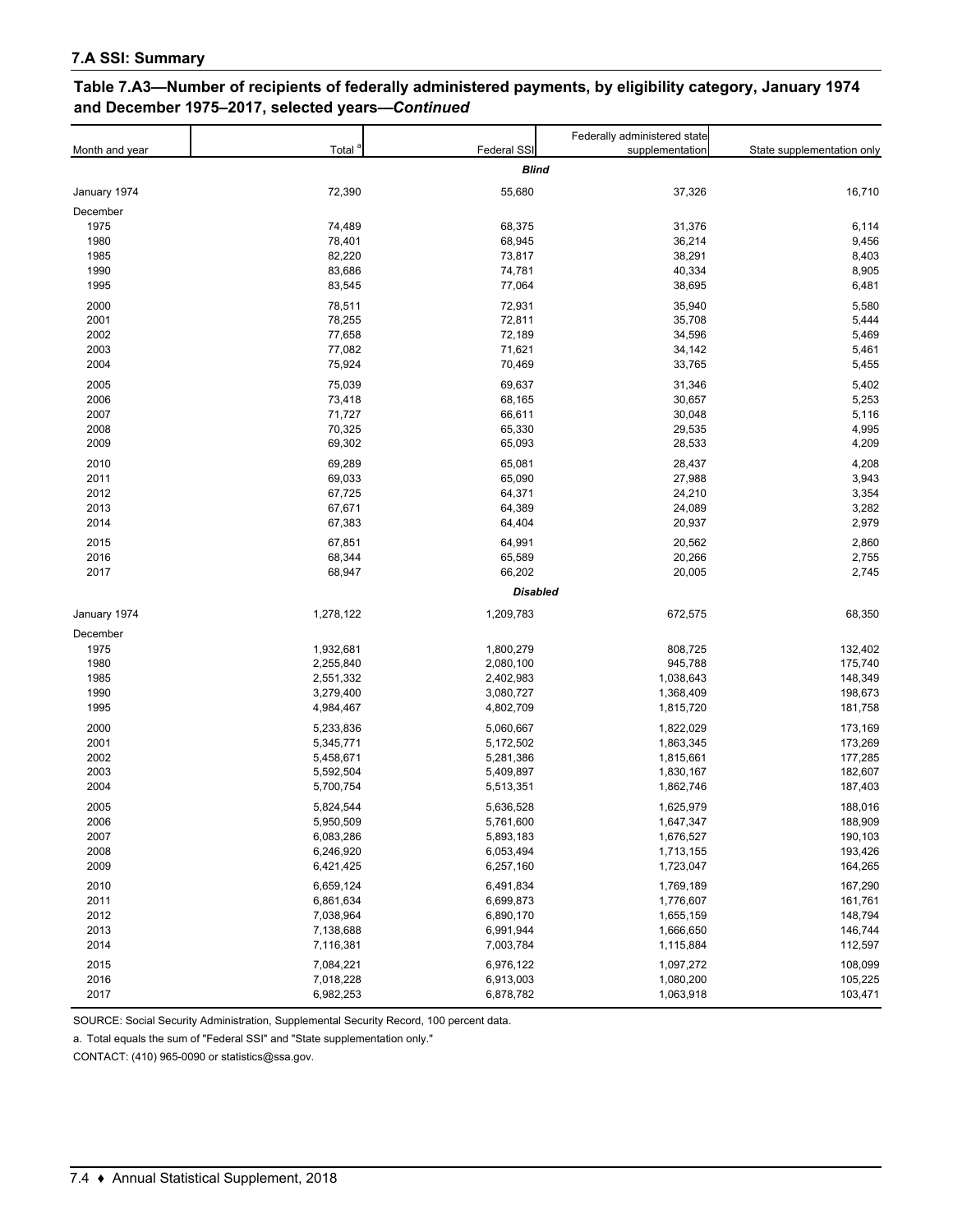#### **Table 7.A3—Number of recipients of federally administered payments, by eligibility category, January 1974 and December 1975–2017, selected years—***Continued*

|                |              |                 | Federally administered state |                            |  |  |  |
|----------------|--------------|-----------------|------------------------------|----------------------------|--|--|--|
| Month and year | Total        | Federal SSI     | supplementation              | State supplementation only |  |  |  |
|                | <b>Blind</b> |                 |                              |                            |  |  |  |
| January 1974   | 72,390       | 55,680          | 37,326                       | 16,710                     |  |  |  |
| December       |              |                 |                              |                            |  |  |  |
| 1975           | 74,489       | 68,375          | 31,376                       | 6,114                      |  |  |  |
| 1980           | 78,401       | 68,945          | 36,214                       | 9,456                      |  |  |  |
| 1985           | 82,220       | 73,817          | 38,291                       | 8,403                      |  |  |  |
| 1990           | 83,686       | 74,781          | 40,334                       | 8,905                      |  |  |  |
| 1995           | 83,545       | 77,064          | 38,695                       | 6,481                      |  |  |  |
| 2000           | 78,511       | 72,931          | 35,940                       | 5,580                      |  |  |  |
| 2001           | 78,255       | 72,811          | 35,708                       | 5,444                      |  |  |  |
| 2002           | 77,658       | 72,189          | 34,596                       | 5,469                      |  |  |  |
| 2003           | 77,082       | 71,621          | 34,142                       | 5,461                      |  |  |  |
| 2004           | 75,924       | 70,469          | 33,765                       | 5,455                      |  |  |  |
| 2005           | 75,039       | 69,637          | 31,346                       | 5,402                      |  |  |  |
| 2006           | 73,418       | 68,165          | 30,657                       | 5,253                      |  |  |  |
| 2007           | 71,727       | 66,611          | 30,048                       | 5,116                      |  |  |  |
| 2008           | 70,325       | 65,330          | 29,535                       | 4,995                      |  |  |  |
| 2009           | 69,302       | 65,093          | 28,533                       | 4,209                      |  |  |  |
| 2010           | 69,289       | 65,081          | 28,437                       | 4,208                      |  |  |  |
| 2011           | 69,033       | 65,090          | 27,988                       | 3,943                      |  |  |  |
| 2012           | 67,725       | 64,371          | 24,210                       | 3,354                      |  |  |  |
| 2013           | 67,671       | 64,389          | 24,089                       | 3,282                      |  |  |  |
| 2014           | 67,383       | 64,404          | 20,937                       | 2,979                      |  |  |  |
| 2015           | 67,851       | 64,991          | 20,562                       | 2,860                      |  |  |  |
| 2016           | 68,344       | 65,589          | 20,266                       | 2,755                      |  |  |  |
| 2017           | 68,947       | 66,202          | 20,005                       | 2,745                      |  |  |  |
|                |              | <b>Disabled</b> |                              |                            |  |  |  |
|                |              |                 |                              |                            |  |  |  |
| January 1974   | 1,278,122    | 1,209,783       | 672,575                      | 68,350                     |  |  |  |
| December       |              |                 |                              |                            |  |  |  |
| 1975           | 1,932,681    | 1,800,279       | 808,725                      | 132,402                    |  |  |  |
| 1980           | 2,255,840    | 2,080,100       | 945,788                      | 175,740                    |  |  |  |
| 1985           | 2,551,332    | 2,402,983       | 1,038,643                    | 148,349                    |  |  |  |
| 1990           | 3,279,400    | 3,080,727       | 1,368,409                    | 198,673                    |  |  |  |
| 1995           | 4,984,467    | 4,802,709       | 1,815,720                    | 181,758                    |  |  |  |
| 2000           | 5,233,836    | 5,060,667       | 1,822,029                    | 173,169                    |  |  |  |
| 2001           | 5,345,771    | 5,172,502       | 1,863,345                    | 173,269                    |  |  |  |
| 2002           | 5,458,671    | 5,281,386       | 1,815,661                    | 177,285                    |  |  |  |
| 2003           | 5,592,504    | 5,409,897       | 1,830,167                    | 182,607                    |  |  |  |
| 2004           | 5,700,754    | 5,513,351       | 1,862,746                    | 187,403                    |  |  |  |
| 2005           | 5,824,544    | 5,636,528       | 1,625,979                    | 188,016                    |  |  |  |
| 2006           | 5,950,509    | 5,761,600       | 1,647,347                    | 188,909                    |  |  |  |
| 2007           | 6,083,286    | 5,893,183       | 1,676,527                    | 190,103                    |  |  |  |
| 2008           | 6,246,920    | 6,053,494       | 1,713,155                    | 193,426                    |  |  |  |
| 2009           | 6,421,425    | 6,257,160       | 1,723,047                    | 164,265                    |  |  |  |
| 2010           | 6,659,124    | 6,491,834       | 1,769,189                    | 167,290                    |  |  |  |
| 2011           | 6,861,634    | 6,699,873       | 1,776,607                    | 161,761                    |  |  |  |
| 2012           | 7,038,964    | 6,890,170       | 1,655,159                    | 148,794                    |  |  |  |
| 2013           | 7,138,688    | 6,991,944       | 1,666,650                    | 146,744                    |  |  |  |
| 2014           | 7,116,381    | 7,003,784       | 1,115,884                    | 112,597                    |  |  |  |
| 2015           | 7,084,221    | 6,976,122       | 1,097,272                    | 108,099                    |  |  |  |
| 2016           | 7,018,228    | 6,913,003       | 1,080,200                    | 105,225                    |  |  |  |
| 2017           | 6,982,253    | 6,878,782       | 1,063,918                    | 103,471                    |  |  |  |
|                |              |                 |                              |                            |  |  |  |

SOURCE: Social Security Administration, Supplemental Security Record, 100 percent data.

a. Total equals the sum of "Federal SSI" and "State supplementation only."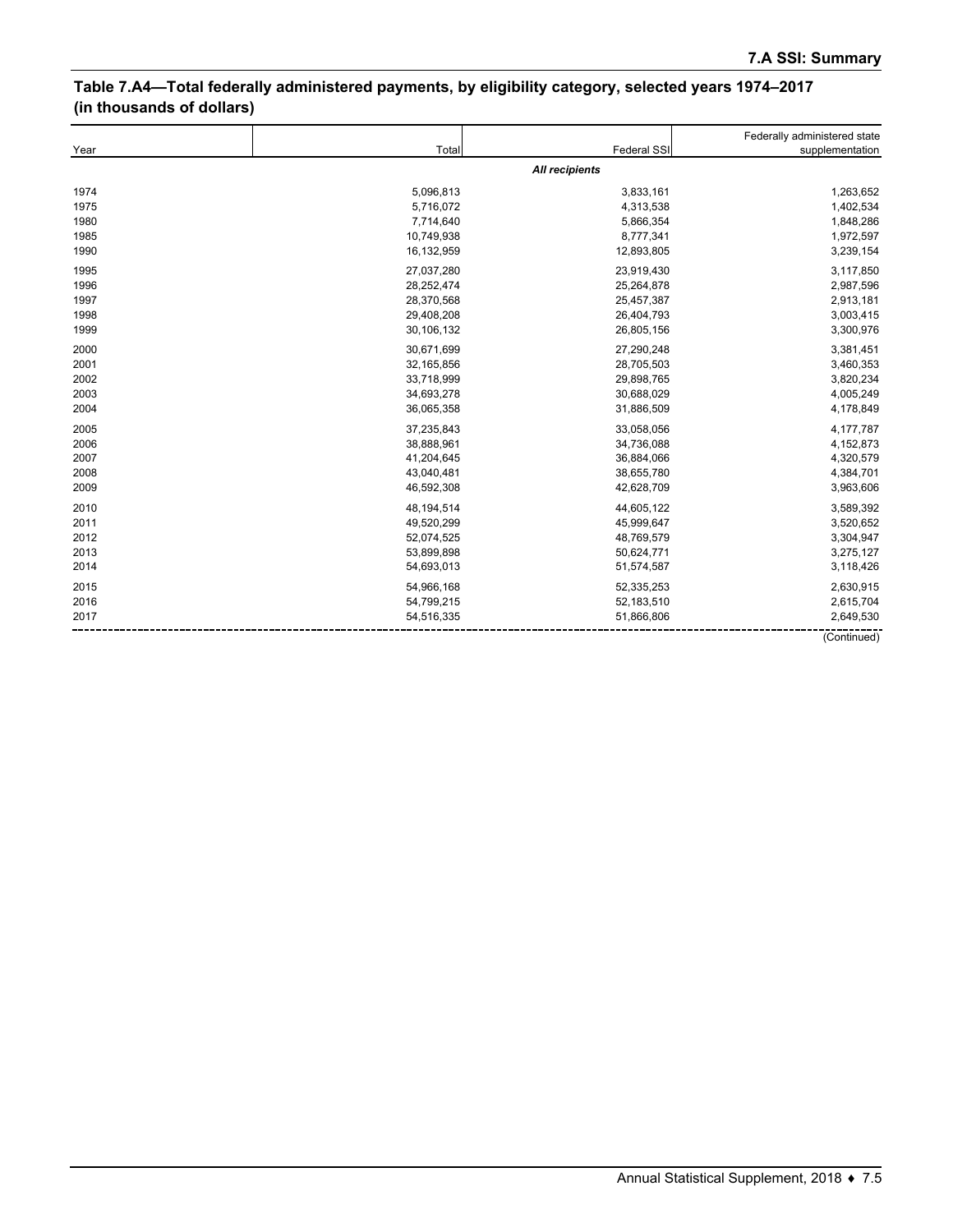# **Table 7.A4—Total federally administered payments, by eligibility category, selected years 1974–2017 (in thousands of dollars)**

|      |            |                | Federally administered state |
|------|------------|----------------|------------------------------|
| Year | Total      | Federal SSI    | supplementation              |
|      |            | All recipients |                              |
| 1974 | 5,096,813  | 3,833,161      | 1,263,652                    |
| 1975 | 5,716,072  | 4,313,538      | 1,402,534                    |
| 1980 | 7,714,640  | 5,866,354      | 1,848,286                    |
| 1985 | 10,749,938 | 8,777,341      | 1,972,597                    |
| 1990 | 16,132,959 | 12,893,805     | 3,239,154                    |
| 1995 | 27,037,280 | 23,919,430     | 3,117,850                    |
| 1996 | 28,252,474 | 25,264,878     | 2,987,596                    |
| 1997 | 28,370,568 | 25,457,387     | 2,913,181                    |
| 1998 | 29,408,208 | 26,404,793     | 3,003,415                    |
| 1999 | 30,106,132 | 26,805,156     | 3,300,976                    |
| 2000 | 30,671,699 | 27,290,248     | 3,381,451                    |
| 2001 | 32,165,856 | 28,705,503     | 3,460,353                    |
| 2002 | 33,718,999 | 29,898,765     | 3,820,234                    |
| 2003 | 34,693,278 | 30,688,029     | 4,005,249                    |
| 2004 | 36,065,358 | 31,886,509     | 4,178,849                    |
| 2005 | 37,235,843 | 33,058,056     | 4,177,787                    |
| 2006 | 38,888,961 | 34,736,088     | 4,152,873                    |
| 2007 | 41,204,645 | 36,884,066     | 4,320,579                    |
| 2008 | 43,040,481 | 38,655,780     | 4,384,701                    |
| 2009 | 46,592,308 | 42,628,709     | 3,963,606                    |
| 2010 | 48,194,514 | 44,605,122     | 3,589,392                    |
| 2011 | 49,520,299 | 45,999,647     | 3,520,652                    |
| 2012 | 52,074,525 | 48,769,579     | 3,304,947                    |
| 2013 | 53,899,898 | 50,624,771     | 3,275,127                    |
| 2014 | 54,693,013 | 51,574,587     | 3,118,426                    |
| 2015 | 54,966,168 | 52,335,253     | 2,630,915                    |
| 2016 | 54,799,215 | 52,183,510     | 2,615,704                    |
| 2017 | 54,516,335 | 51,866,806     | 2,649,530                    |
|      |            |                | (Continued)                  |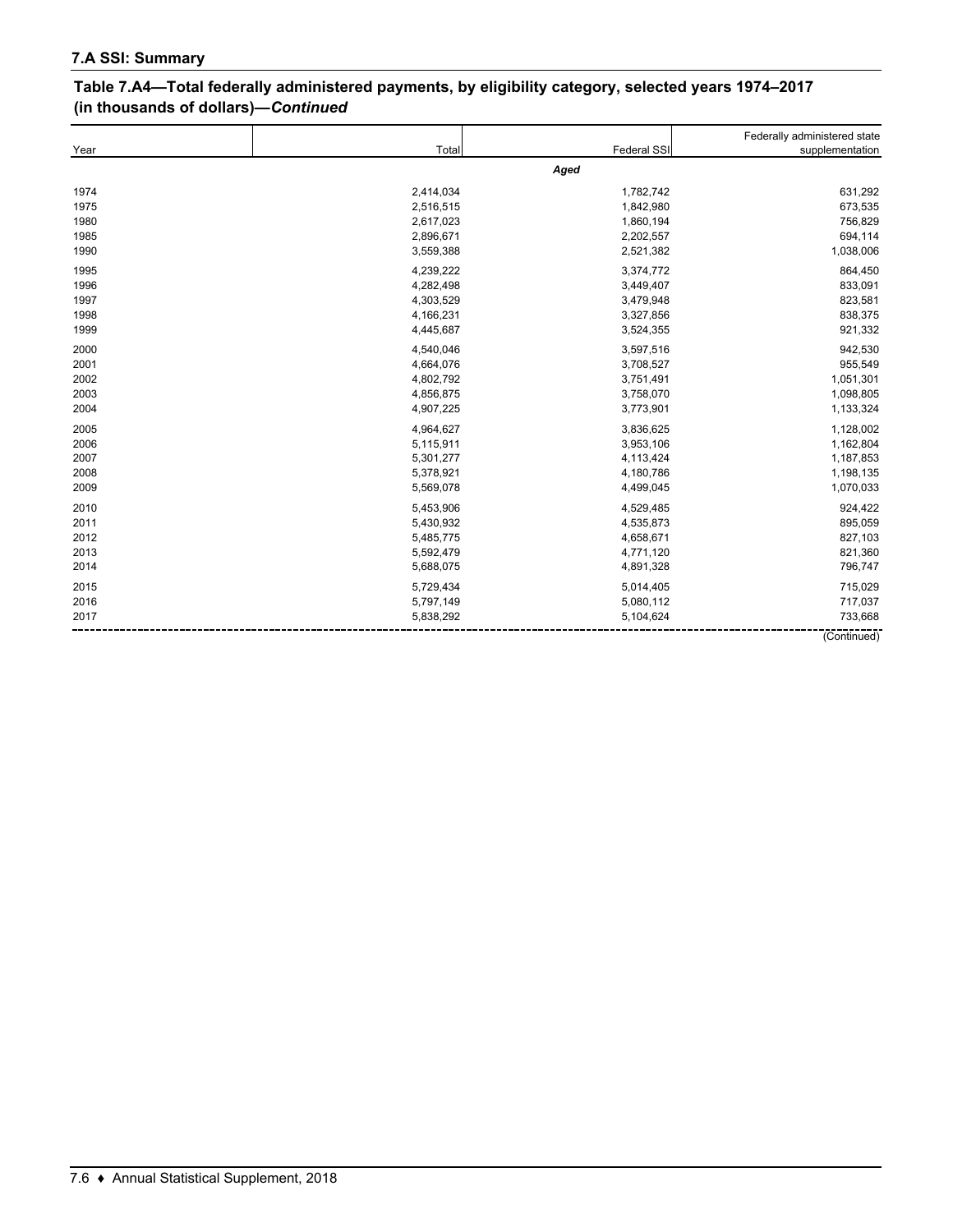### **Table 7.A4—Total federally administered payments, by eligibility category, selected years 1974–2017 (in thousands of dollars)—***Continued*

|      |           |             | Federally administered state |
|------|-----------|-------------|------------------------------|
| Year | Total     | Federal SSI | supplementation              |
|      |           | Aged        |                              |
| 1974 | 2,414,034 | 1,782,742   | 631,292                      |
| 1975 | 2,516,515 | 1,842,980   | 673,535                      |
| 1980 | 2,617,023 | 1,860,194   | 756,829                      |
| 1985 | 2,896,671 | 2,202,557   | 694,114                      |
| 1990 | 3,559,388 | 2,521,382   | 1,038,006                    |
| 1995 | 4,239,222 | 3,374,772   | 864,450                      |
| 1996 | 4,282,498 | 3,449,407   | 833,091                      |
| 1997 | 4,303,529 | 3,479,948   | 823,581                      |
| 1998 | 4,166,231 | 3,327,856   | 838,375                      |
| 1999 | 4,445,687 | 3,524,355   | 921,332                      |
| 2000 | 4,540,046 | 3,597,516   | 942,530                      |
| 2001 | 4,664,076 | 3,708,527   | 955,549                      |
| 2002 | 4,802,792 | 3,751,491   | 1,051,301                    |
| 2003 | 4,856,875 | 3,758,070   | 1,098,805                    |
| 2004 | 4,907,225 | 3,773,901   | 1,133,324                    |
| 2005 | 4,964,627 | 3,836,625   | 1,128,002                    |
| 2006 | 5,115,911 | 3,953,106   | 1,162,804                    |
| 2007 | 5,301,277 | 4,113,424   | 1,187,853                    |
| 2008 | 5,378,921 | 4,180,786   | 1,198,135                    |
| 2009 | 5,569,078 | 4,499,045   | 1,070,033                    |
| 2010 | 5,453,906 | 4,529,485   | 924,422                      |
| 2011 | 5,430,932 | 4,535,873   | 895,059                      |
| 2012 | 5,485,775 | 4,658,671   | 827,103                      |
| 2013 | 5,592,479 | 4,771,120   | 821,360                      |
| 2014 | 5,688,075 | 4,891,328   | 796,747                      |
| 2015 | 5,729,434 | 5,014,405   | 715,029                      |
| 2016 | 5,797,149 | 5,080,112   | 717,037                      |
| 2017 | 5,838,292 | 5,104,624   | 733,668                      |
|      |           |             | (Continued)                  |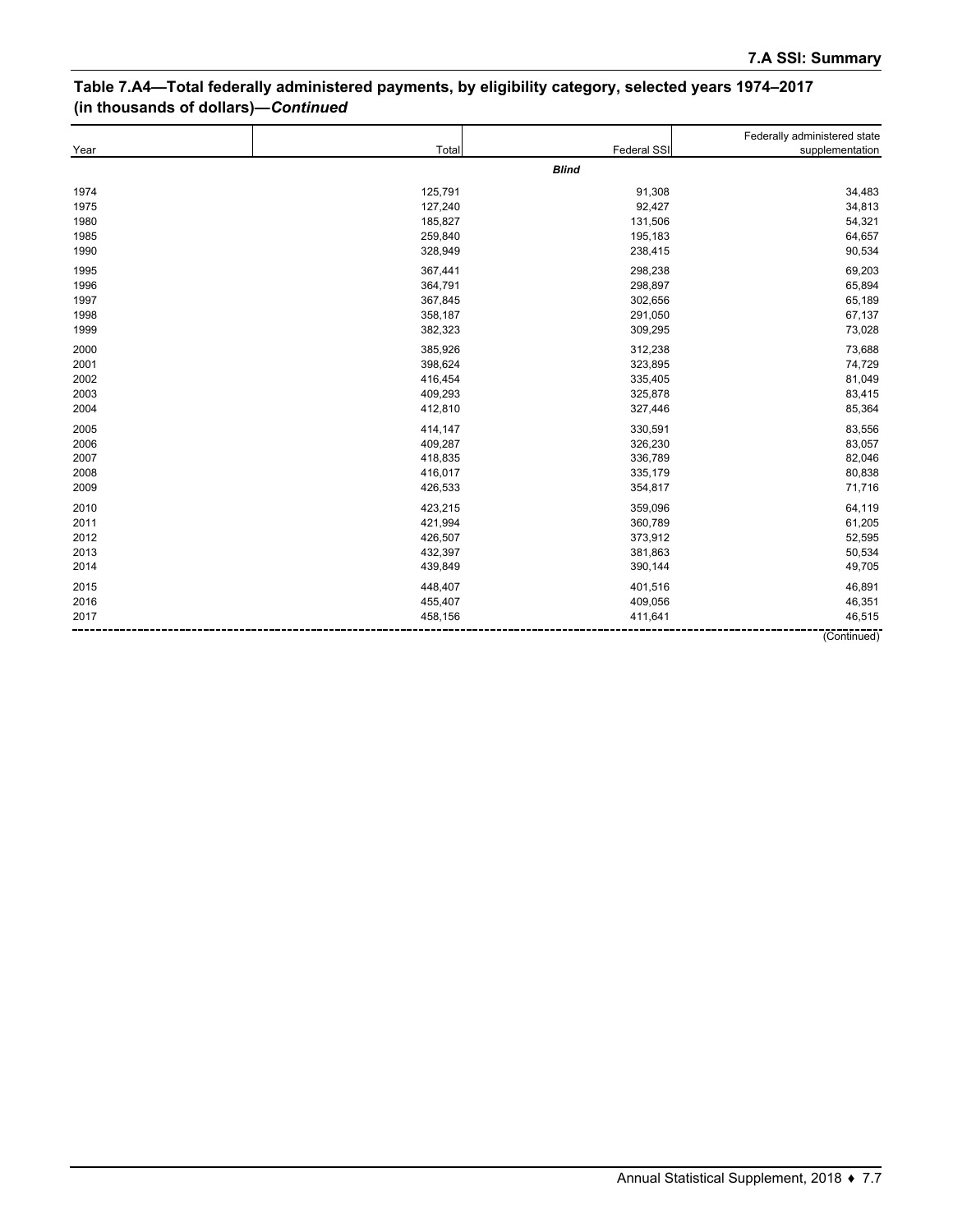# **Table 7.A4—Total federally administered payments, by eligibility category, selected years 1974–2017 (in thousands of dollars)—***Continued*

|      |         |              | Federally administered state |
|------|---------|--------------|------------------------------|
| Year | Total   | Federal SSI  | supplementation              |
|      |         | <b>Blind</b> |                              |
| 1974 | 125,791 | 91,308       | 34,483                       |
| 1975 | 127,240 | 92,427       | 34,813                       |
| 1980 | 185,827 | 131,506      | 54,321                       |
| 1985 | 259,840 | 195,183      | 64,657                       |
| 1990 | 328,949 | 238,415      | 90,534                       |
| 1995 | 367,441 | 298,238      | 69,203                       |
| 1996 | 364,791 | 298,897      | 65,894                       |
| 1997 | 367,845 | 302,656      | 65,189                       |
| 1998 | 358,187 | 291,050      | 67,137                       |
| 1999 | 382,323 | 309,295      | 73,028                       |
| 2000 | 385,926 | 312,238      | 73,688                       |
| 2001 | 398,624 | 323,895      | 74,729                       |
| 2002 | 416,454 | 335,405      | 81,049                       |
| 2003 | 409,293 | 325,878      | 83,415                       |
| 2004 | 412,810 | 327,446      | 85,364                       |
| 2005 | 414,147 | 330,591      | 83,556                       |
| 2006 | 409,287 | 326,230      | 83,057                       |
| 2007 | 418,835 | 336,789      | 82,046                       |
| 2008 | 416,017 | 335,179      | 80,838                       |
| 2009 | 426,533 | 354,817      | 71,716                       |
| 2010 | 423,215 | 359,096      | 64,119                       |
| 2011 | 421,994 | 360,789      | 61,205                       |
| 2012 | 426,507 | 373,912      | 52,595                       |
| 2013 | 432,397 | 381,863      | 50,534                       |
| 2014 | 439,849 | 390,144      | 49,705                       |
| 2015 | 448,407 | 401,516      | 46,891                       |
| 2016 | 455,407 | 409,056      | 46,351                       |
| 2017 | 458,156 | 411,641      | 46,515                       |
|      |         |              | (Continued)                  |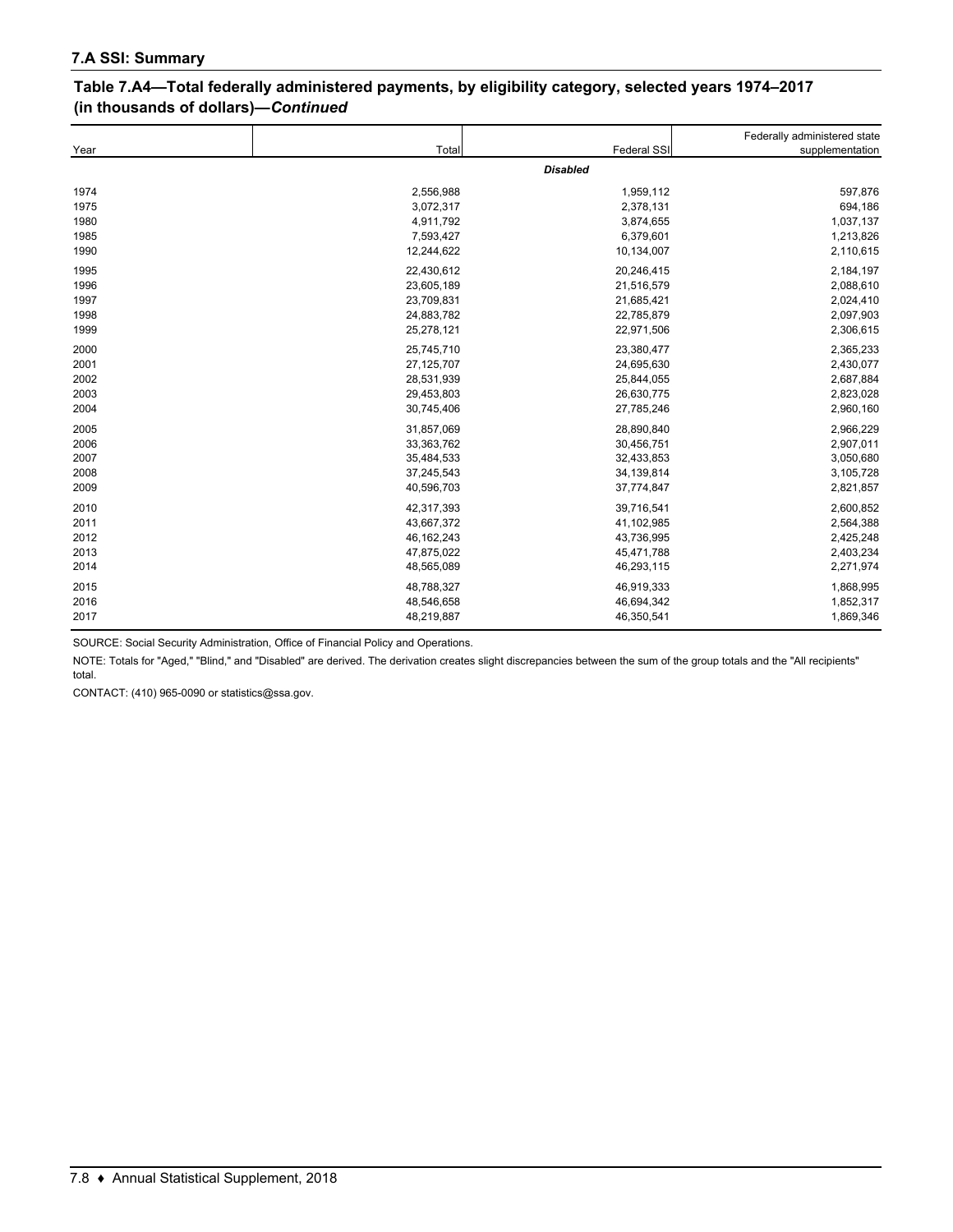### **Table 7.A4—Total federally administered payments, by eligibility category, selected years 1974–2017 (in thousands of dollars)—***Continued*

| Year | Total        | <b>Federal SSI</b> | Federally administered state<br>supplementation |
|------|--------------|--------------------|-------------------------------------------------|
|      |              | <b>Disabled</b>    |                                                 |
| 1974 | 2,556,988    | 1,959,112          | 597,876                                         |
| 1975 | 3,072,317    | 2,378,131          | 694,186                                         |
| 1980 | 4,911,792    | 3,874,655          | 1,037,137                                       |
| 1985 | 7,593,427    | 6,379,601          | 1,213,826                                       |
| 1990 | 12,244,622   | 10,134,007         | 2,110,615                                       |
| 1995 | 22,430,612   | 20,246,415         | 2,184,197                                       |
| 1996 | 23,605,189   | 21,516,579         | 2,088,610                                       |
| 1997 | 23,709,831   | 21,685,421         | 2,024,410                                       |
| 1998 | 24,883,782   | 22,785,879         | 2,097,903                                       |
| 1999 | 25,278,121   | 22,971,506         | 2,306,615                                       |
| 2000 | 25,745,710   | 23,380,477         | 2,365,233                                       |
| 2001 | 27,125,707   | 24,695,630         | 2,430,077                                       |
| 2002 | 28,531,939   | 25,844,055         | 2,687,884                                       |
| 2003 | 29,453,803   | 26,630,775         | 2,823,028                                       |
| 2004 | 30,745,406   | 27,785,246         | 2,960,160                                       |
| 2005 | 31,857,069   | 28,890,840         | 2,966,229                                       |
| 2006 | 33,363,762   | 30,456,751         | 2,907,011                                       |
| 2007 | 35,484,533   | 32,433,853         | 3,050,680                                       |
| 2008 | 37,245,543   | 34,139,814         | 3,105,728                                       |
| 2009 | 40,596,703   | 37,774,847         | 2,821,857                                       |
| 2010 | 42,317,393   | 39,716,541         | 2,600,852                                       |
| 2011 | 43,667,372   | 41,102,985         | 2,564,388                                       |
| 2012 | 46, 162, 243 | 43,736,995         | 2,425,248                                       |
| 2013 | 47,875,022   | 45,471,788         | 2,403,234                                       |
| 2014 | 48,565,089   | 46,293,115         | 2,271,974                                       |
| 2015 | 48,788,327   | 46,919,333         | 1,868,995                                       |
| 2016 | 48,546,658   | 46,694,342         | 1,852,317                                       |
| 2017 | 48,219,887   | 46,350,541         | 1,869,346                                       |

SOURCE: Social Security Administration, Office of Financial Policy and Operations.

NOTE: Totals for "Aged," "Blind," and "Disabled" are derived. The derivation creates slight discrepancies between the sum of the group totals and the "All recipients" total.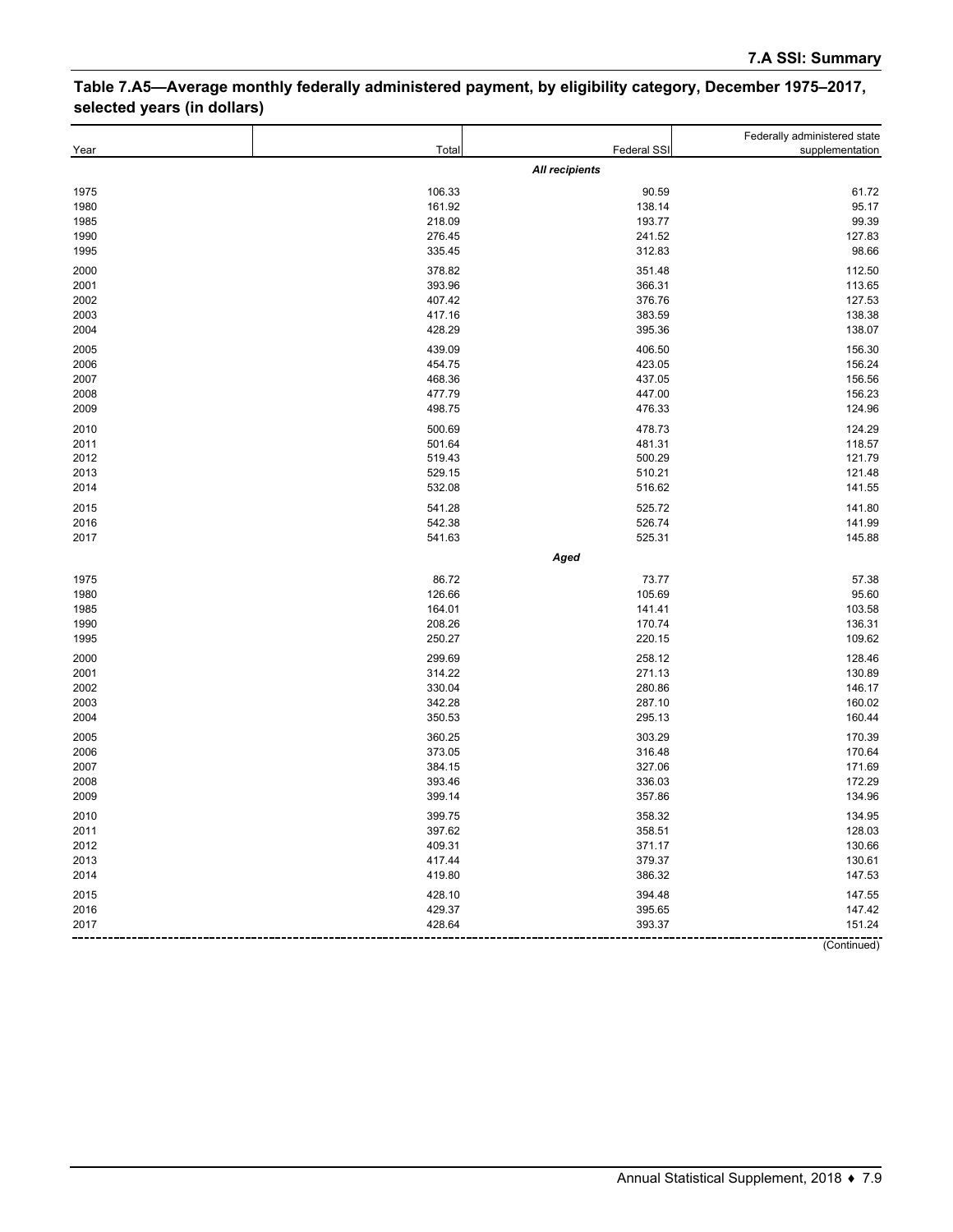### **Table 7.A5—Average monthly federally administered payment, by eligibility category, December 1975–2017, selected years (in dollars)**

|      |        |                       | Federally administered state |
|------|--------|-----------------------|------------------------------|
| Year | Total  | Federal SSI           | supplementation              |
|      |        | <b>All recipients</b> |                              |
| 1975 | 106.33 | 90.59                 | 61.72                        |
| 1980 | 161.92 | 138.14                | 95.17                        |
| 1985 | 218.09 | 193.77                | 99.39                        |
| 1990 | 276.45 | 241.52                | 127.83                       |
| 1995 | 335.45 | 312.83                | 98.66                        |
| 2000 | 378.82 | 351.48                | 112.50                       |
| 2001 | 393.96 | 366.31                | 113.65                       |
| 2002 | 407.42 | 376.76                | 127.53                       |
| 2003 | 417.16 | 383.59                | 138.38                       |
| 2004 | 428.29 | 395.36                | 138.07                       |
| 2005 | 439.09 | 406.50                | 156.30                       |
| 2006 | 454.75 | 423.05                | 156.24                       |
| 2007 | 468.36 | 437.05                | 156.56                       |
| 2008 | 477.79 | 447.00                | 156.23                       |
| 2009 | 498.75 | 476.33                | 124.96                       |
| 2010 | 500.69 | 478.73                | 124.29                       |
| 2011 | 501.64 | 481.31                | 118.57                       |
| 2012 | 519.43 | 500.29                | 121.79                       |
| 2013 | 529.15 | 510.21                | 121.48                       |
| 2014 | 532.08 | 516.62                | 141.55                       |
| 2015 | 541.28 | 525.72                | 141.80                       |
| 2016 | 542.38 | 526.74                | 141.99                       |
| 2017 | 541.63 | 525.31                | 145.88                       |
|      |        | Aged                  |                              |
| 1975 | 86.72  | 73.77                 | 57.38                        |
| 1980 | 126.66 | 105.69                | 95.60                        |
| 1985 | 164.01 | 141.41                | 103.58                       |
| 1990 | 208.26 | 170.74                | 136.31                       |
| 1995 | 250.27 | 220.15                | 109.62                       |
| 2000 | 299.69 | 258.12                | 128.46                       |
| 2001 | 314.22 | 271.13                | 130.89                       |
| 2002 | 330.04 | 280.86                | 146.17                       |
| 2003 | 342.28 | 287.10                | 160.02                       |
| 2004 | 350.53 | 295.13                | 160.44                       |
| 2005 | 360.25 | 303.29                | 170.39                       |
| 2006 | 373.05 | 316.48                | 170.64                       |
| 2007 | 384.15 | 327.06                | 171.69                       |
| 2008 | 393.46 | 336.03                | 172.29                       |
| 2009 | 399.14 | 357.86                | 134.96                       |
| 2010 | 399.75 | 358.32                | 134.95                       |
| 2011 | 397.62 | 358.51                | 128.03                       |
| 2012 | 409.31 | 371.17                | 130.66                       |
| 2013 | 417.44 | 379.37                | 130.61                       |
| 2014 | 419.80 | 386.32                | 147.53                       |
| 2015 | 428.10 | 394.48                | 147.55                       |
| 2016 | 429.37 | 395.65                | 147.42                       |
| 2017 | 428.64 | 393.37                | 151.24                       |
|      |        |                       | (Continued)                  |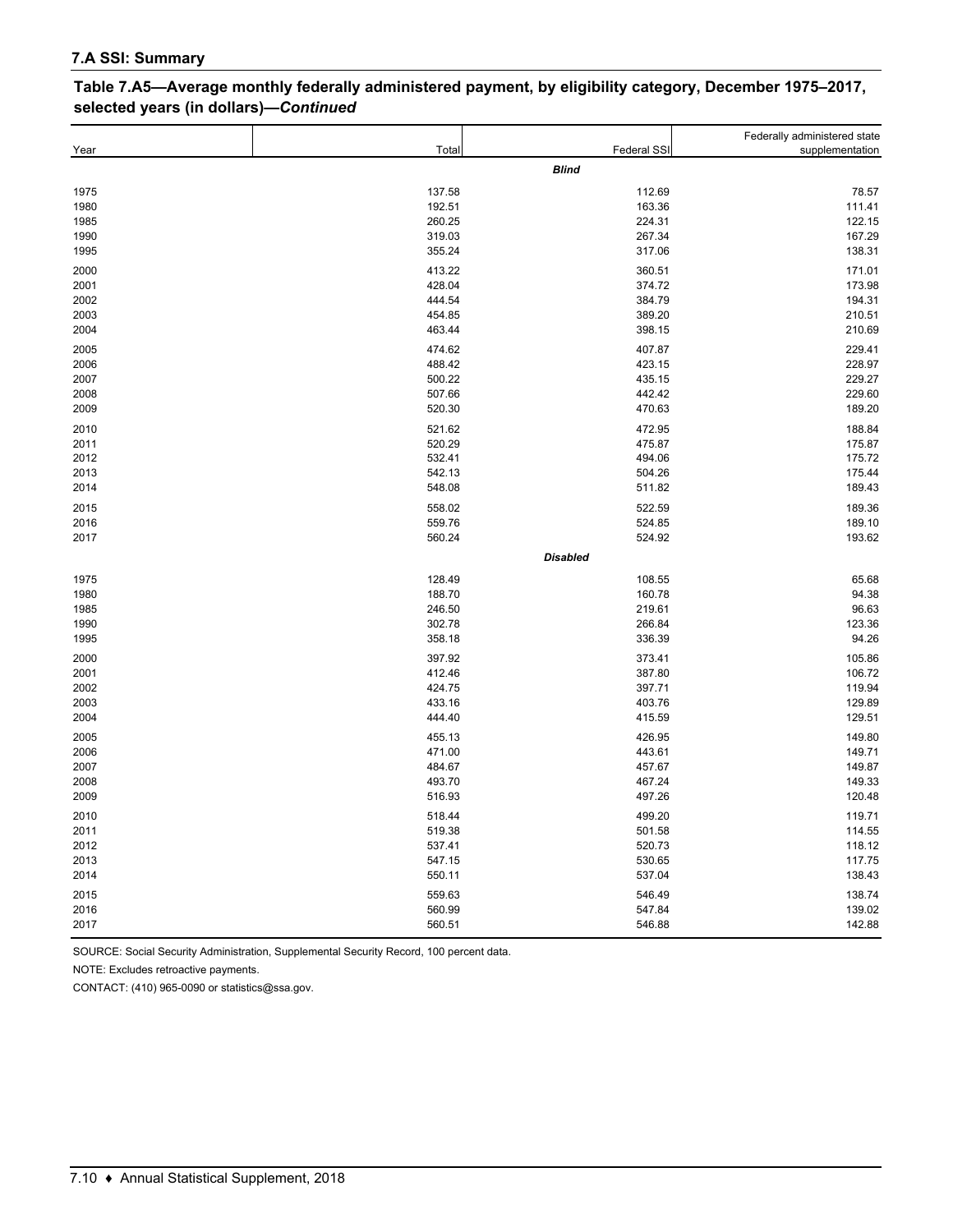| selected years (in dollars)-Continued |        |                    |                                                 |
|---------------------------------------|--------|--------------------|-------------------------------------------------|
| Year                                  | Total  | <b>Federal SSI</b> | Federally administered state<br>supplementation |
|                                       |        | <b>Blind</b>       |                                                 |
| 1975                                  | 137.58 | 112.69             | 78.57                                           |
| 1980                                  | 192.51 | 163.36             | 111.41                                          |
| 1985                                  | 260.25 | 224.31             | 122.15                                          |
| 1990                                  | 319.03 | 267.34             | 167.29                                          |
| 1995                                  | 355.24 | 317.06             | 138.31                                          |
| 2000                                  | 413.22 | 360.51             | 171.01                                          |
| 2001                                  | 428.04 | 374.72             | 173.98                                          |
| 2002                                  | 444.54 | 384.79             | 194.31                                          |
| 2003                                  | 454.85 | 389.20             | 210.51                                          |
| 2004                                  | 463.44 | 398.15             | 210.69                                          |
| 2005                                  | 474.62 | 407.87             | 229.41                                          |
| 2006                                  | 488.42 | 423.15             | 228.97                                          |
| 2007                                  | 500.22 | 435.15             | 229.27                                          |
| 2008                                  | 507.66 | 442.42             | 229.60                                          |
| 2009                                  | 520.30 | 470.63             | 189.20                                          |
| 2010                                  | 521.62 | 472.95             | 188.84                                          |
| 2011                                  | 520.29 | 475.87             | 175.87                                          |
| 2012                                  | 532.41 | 494.06             | 175.72                                          |
| 2013                                  | 542.13 | 504.26             | 175.44                                          |

 548.08 511.82 189.43 558.02 522.59 189.36 559.76 524.85 189.10 560.24 524.92 193.62

 128.49 108.55 65.68 188.70 160.78 94.38 246.50 219.61 96.63 302.78 266.84 123.36 358.18 336.39 94.26 397.92 373.41 105.86 412.46 387.80 106.72 424.75 397.71 119.94 433.16 403.76 129.89 444.40 415.59 129.51 455.13 426.95 149.80 471.00 443.61 149.71 484.67 457.67 149.87 493.70 467.24 149.33 516.93 497.26 120.48 518.44 499.20 119.71 519.38 501.58 114.55 537.41 520.73 118.12 547.15 530.65 117.75 550.11 537.04 138.43 559.63 546.49 138.74 560.99 547.84 139.02 560.51 546.88 142.88

*Disabled*

# **Table 7.A5—Average monthly federally administered payment, by eligibility category, December 1975–2017,**

SOURCE: Social Security Administration, Supplemental Security Record, 100 percent data.

NOTE: Excludes retroactive payments.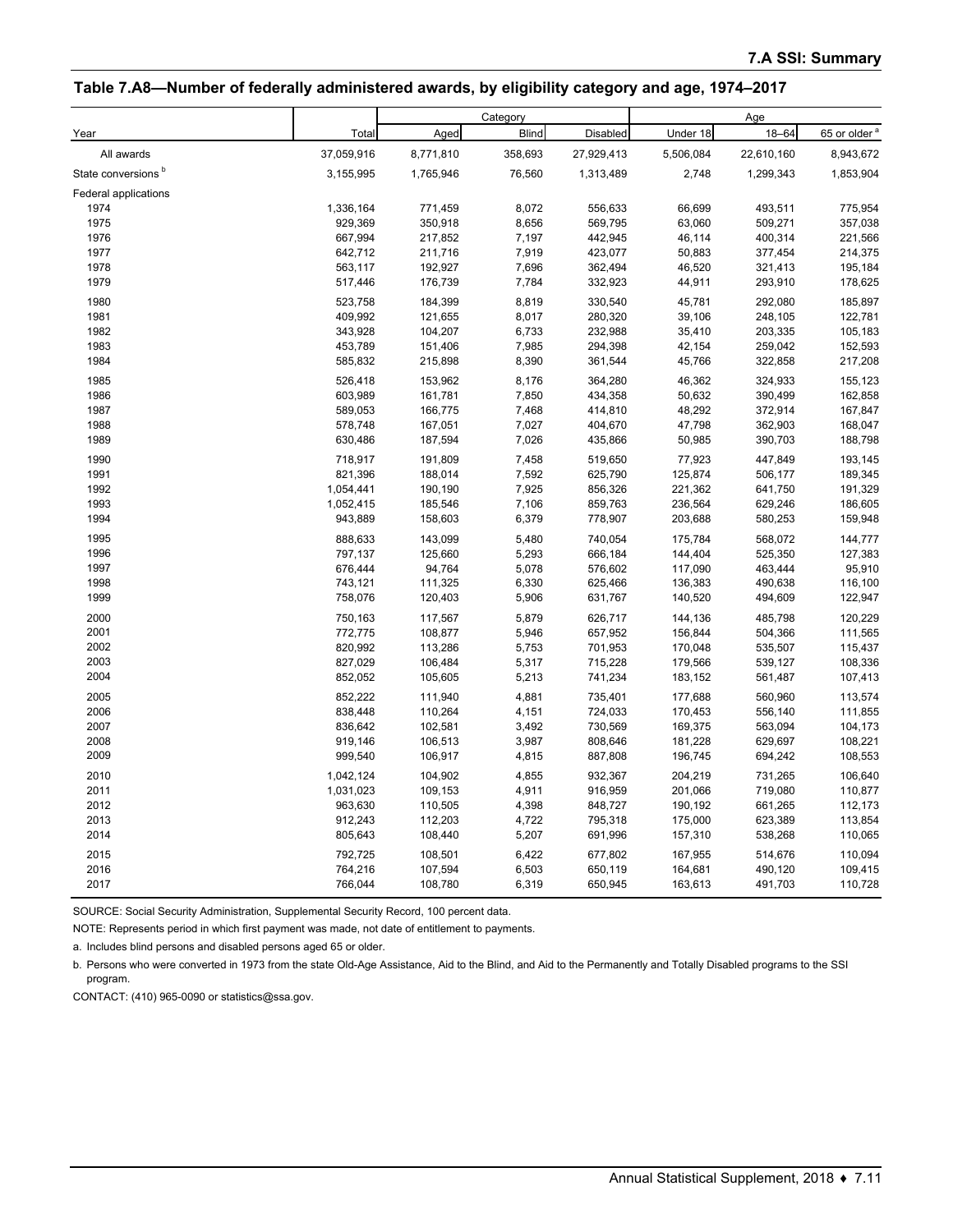#### **Table 7.A8—Number of federally administered awards, by eligibility category and age, 1974–2017**

|                                |            |           | Category     |            |           | Age        |                          |
|--------------------------------|------------|-----------|--------------|------------|-----------|------------|--------------------------|
| Year                           | Total      | Aged      | <b>Blind</b> | Disabled   | Under 18  | $18 - 64$  | 65 or older <sup>a</sup> |
| All awards                     | 37,059,916 | 8,771,810 | 358,693      | 27,929,413 | 5,506,084 | 22,610,160 | 8,943,672                |
| State conversions <sup>b</sup> | 3,155,995  | 1,765,946 | 76,560       | 1,313,489  | 2,748     | 1,299,343  | 1,853,904                |
| Federal applications           |            |           |              |            |           |            |                          |
| 1974                           | 1,336,164  | 771,459   | 8,072        | 556,633    | 66,699    | 493,511    | 775,954                  |
| 1975                           | 929,369    | 350,918   | 8,656        | 569,795    | 63,060    | 509,271    | 357,038                  |
| 1976                           | 667,994    | 217,852   | 7,197        | 442,945    | 46,114    | 400,314    | 221,566                  |
| 1977                           | 642,712    | 211,716   | 7,919        | 423,077    | 50,883    | 377,454    | 214,375                  |
| 1978                           | 563,117    | 192,927   | 7,696        | 362,494    | 46,520    | 321,413    | 195,184                  |
| 1979                           | 517,446    | 176,739   | 7,784        | 332,923    | 44,911    | 293,910    | 178,625                  |
| 1980                           | 523,758    | 184,399   | 8,819        | 330,540    | 45,781    | 292,080    | 185,897                  |
| 1981                           | 409,992    | 121,655   | 8,017        | 280,320    | 39,106    | 248,105    | 122,781                  |
| 1982                           | 343,928    | 104,207   | 6,733        | 232,988    | 35,410    | 203,335    | 105,183                  |
| 1983                           | 453,789    | 151,406   | 7,985        | 294,398    | 42,154    | 259,042    | 152,593                  |
| 1984                           | 585,832    | 215,898   | 8,390        | 361,544    | 45,766    | 322,858    | 217,208                  |
| 1985                           | 526,418    | 153,962   | 8,176        | 364,280    | 46,362    | 324,933    | 155,123                  |
| 1986                           | 603,989    | 161,781   | 7,850        | 434,358    | 50,632    | 390,499    | 162,858                  |
| 1987                           | 589,053    | 166,775   | 7,468        | 414,810    | 48,292    | 372,914    | 167,847                  |
| 1988                           | 578,748    | 167,051   | 7,027        | 404,670    | 47,798    | 362,903    | 168,047                  |
| 1989                           | 630,486    | 187,594   | 7,026        | 435,866    | 50,985    | 390,703    | 188,798                  |
| 1990                           | 718,917    | 191,809   | 7,458        | 519,650    | 77,923    | 447,849    | 193,145                  |
| 1991                           | 821,396    | 188,014   | 7,592        | 625,790    | 125,874   | 506,177    | 189,345                  |
| 1992                           | 1,054,441  | 190,190   | 7,925        | 856,326    | 221,362   | 641,750    | 191,329                  |
| 1993                           | 1,052,415  | 185,546   | 7,106        | 859,763    | 236,564   | 629,246    | 186,605                  |
| 1994                           | 943,889    | 158,603   | 6,379        | 778,907    | 203,688   | 580,253    | 159,948                  |
| 1995                           | 888,633    | 143,099   | 5,480        | 740,054    | 175,784   | 568,072    | 144,777                  |
| 1996                           | 797,137    | 125,660   | 5,293        | 666,184    | 144,404   | 525,350    | 127,383                  |
| 1997                           | 676,444    | 94,764    | 5,078        | 576,602    | 117,090   | 463,444    | 95,910                   |
| 1998                           | 743,121    | 111,325   | 6,330        | 625,466    | 136,383   | 490,638    | 116,100                  |
| 1999                           | 758,076    | 120,403   | 5,906        | 631,767    | 140,520   | 494,609    | 122,947                  |
| 2000                           | 750,163    | 117,567   | 5,879        | 626,717    | 144,136   | 485,798    | 120,229                  |
| 2001                           | 772,775    | 108,877   | 5,946        | 657,952    | 156,844   | 504,366    | 111,565                  |
| 2002                           | 820,992    | 113,286   | 5,753        | 701,953    | 170,048   | 535,507    | 115,437                  |
| 2003                           | 827,029    | 106,484   | 5,317        | 715,228    | 179,566   | 539,127    | 108,336                  |
| 2004                           | 852,052    | 105,605   | 5,213        | 741,234    | 183,152   | 561,487    | 107,413                  |
| 2005                           | 852,222    | 111,940   | 4,881        | 735,401    | 177,688   | 560,960    | 113,574                  |
| 2006                           | 838,448    | 110,264   | 4,151        | 724,033    | 170,453   | 556,140    | 111,855                  |
| 2007                           | 836,642    | 102,581   | 3,492        | 730,569    | 169,375   | 563,094    | 104,173                  |
| 2008                           | 919,146    | 106,513   | 3,987        | 808,646    | 181,228   | 629,697    | 108,221                  |
| 2009                           | 999,540    | 106,917   | 4,815        | 887,808    | 196,745   | 694,242    | 108,553                  |
| 2010                           | 1,042,124  | 104,902   | 4,855        | 932,367    | 204,219   | 731,265    | 106,640                  |
| 2011                           | 1,031,023  | 109,153   | 4,911        | 916,959    | 201,066   | 719,080    | 110,877                  |
| 2012                           | 963,630    | 110,505   | 4,398        | 848,727    | 190,192   | 661,265    | 112,173                  |
| 2013                           | 912,243    | 112,203   | 4,722        | 795,318    | 175,000   | 623,389    | 113,854                  |
| 2014                           | 805,643    | 108,440   | 5,207        | 691,996    | 157,310   | 538,268    | 110,065                  |
| 2015                           | 792,725    | 108,501   | 6,422        | 677,802    | 167,955   | 514,676    | 110,094                  |
| 2016                           | 764,216    | 107,594   | 6,503        | 650,119    | 164,681   | 490,120    | 109,415                  |
| 2017                           | 766,044    | 108,780   | 6,319        | 650,945    | 163,613   | 491,703    | 110,728                  |

SOURCE: Social Security Administration, Supplemental Security Record, 100 percent data.

NOTE: Represents period in which first payment was made, not date of entitlement to payments.

a. Includes blind persons and disabled persons aged 65 or older.

b. Persons who were converted in 1973 from the state Old-Age Assistance, Aid to the Blind, and Aid to the Permanently and Totally Disabled programs to the SSI program.